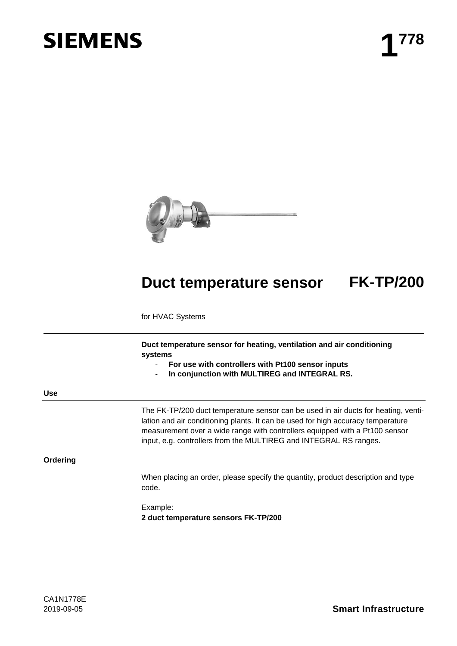# **SIEMENS**



## **Duct temperature sensor FK-TP/200**

for HVAC Systems

**Duct temperature sensor for heating, ventilation and air conditioning systems**

- **For use with controllers with Pt100 sensor inputs**
- **In conjunction with MULTIREG and INTEGRAL RS.**

**Use**

The FK-TP/200 duct temperature sensor can be used in air ducts for heating, ventilation and air conditioning plants. It can be used for high accuracy temperature measurement over a wide range with controllers equipped with a Pt100 sensor input, e.g. controllers from the MULTIREG and INTEGRAL RS ranges.

#### **Ordering**

When placing an order, please specify the quantity, product description and type code.

Example: **2 duct temperature sensors FK-TP/200**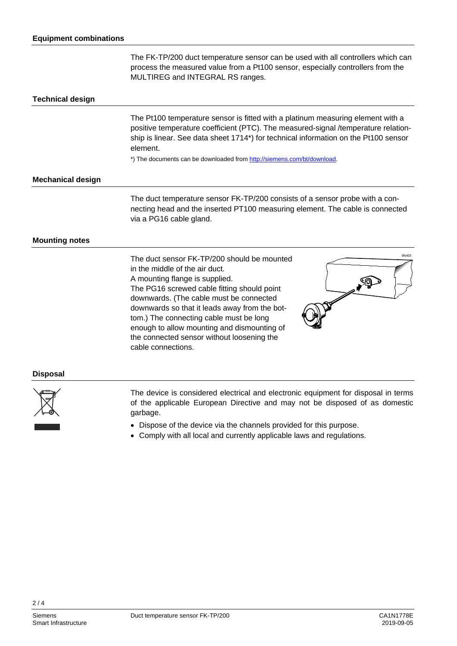The FK-TP/200 duct temperature sensor can be used with all controllers which can process the measured value from a Pt100 sensor, especially controllers from the MULTIREG and INTEGRAL RS ranges.

#### **Technical design**

The Pt100 temperature sensor is fitted with a platinum measuring element with a positive temperature coefficient (PTC). The measured-signal /temperature relationship is linear. See data sheet 1714\*) for technical information on the Pt100 sensor element.

\*) The documents can be downloaded from [http://siemens.com/bt/download.](http://siemens.com/bt/download)

#### **Mechanical design**

The duct temperature sensor FK-TP/200 consists of a sensor probe with a connecting head and the inserted PT100 measuring element. The cable is connected via a PG16 cable gland.

#### **Mounting notes**

The duct sensor FK-TP/200 should be mounted in the middle of the air duct. A mounting flange is supplied. The PG16 screwed cable fitting should point downwards. (The cable must be connected downwards so that it leads away from the bottom.) The connecting cable must be long enough to allow mounting and dismounting of the connected sensor without loosening the cable connections.



#### **Disposal**



The device is considered electrical and electronic equipment for disposal in terms of the applicable European Directive and may not be disposed of as domestic garbage.

- Dispose of the device via the channels provided for this purpose.
- Comply with all local and currently applicable laws and regulations.

 $2/4$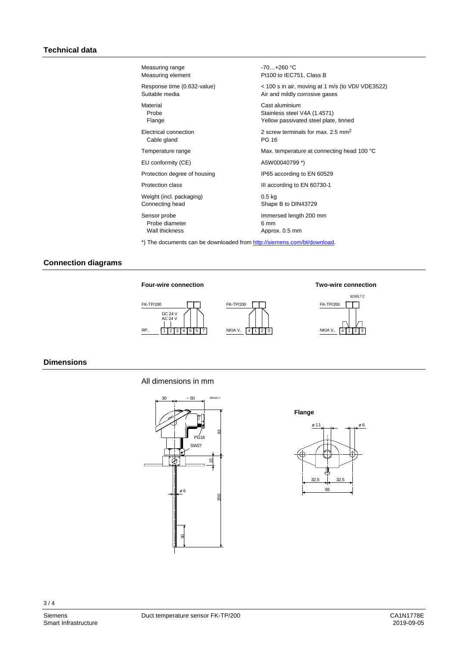| Measuring range              | $-70+260$ °C                                      |
|------------------------------|---------------------------------------------------|
| Measuring element            | Pt100 to IEC751, Class B                          |
| Response time (0.632-value)  | < 100 s in air, moving at 1 m/s (to VDI/ VDE3522) |
| Suitable media               | Air and mildly corrosive gases                    |
| Material                     | Cast aluminium                                    |
| Probe                        | Stainless steel V4A (1.4571)                      |
| Flange                       | Yellow passivated steel plate, tinned             |
| Electrical connection        | 2 screw terminals for max, 2.5 mm <sup>2</sup>    |
| Cable gland                  | PG 16                                             |
| Temperature range            | Max. temperature at connecting head 100 °C        |
| EU conformity (CE)           | A5W00040799 *)                                    |
| Protection degree of housing | IP65 according to EN 60529                        |
| Protection class             | III according to EN 60730-1                       |
| Weight (incl. packaging)     | 0.5 <sub>kq</sub>                                 |
| Connecting head              | Shape B to DIN43729                               |
| Sensor probe                 | Immersed length 200 mm                            |
| Probe diameter               | 6 mm                                              |
| Wall thickness               | Approx. 0.5 mm                                    |
|                              |                                                   |

\*) The documents can be downloaded from [http://siemens.com/bt/download.](http://siemens.com/bt/download)

### **Connection diagrams**







#### **Dimensions**

#### All dimensions in mm



**Flange**



 $3/4$